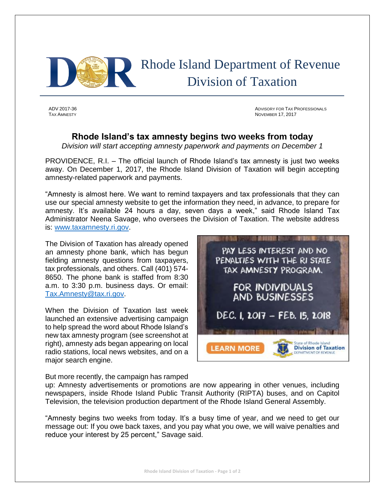

 Rhode Island Department of Revenue Division of Taxation

ADV 2017-36 ADVISORY FOR TAX PROFESSIONALS **NOVEMBER 17, 2017** 

# **Rhode Island's tax amnesty begins two weeks from today**

*Division will start accepting amnesty paperwork and payments on December 1*

PROVIDENCE, R.I. – The official launch of Rhode Island's tax amnesty is just two weeks away. On December 1, 2017, the Rhode Island Division of Taxation will begin accepting amnesty-related paperwork and payments.

"Amnesty is almost here. We want to remind taxpayers and tax professionals that they can use our special amnesty website to get the information they need, in advance, to prepare for amnesty. It's available 24 hours a day, seven days a week," said Rhode Island Tax Administrator Neena Savage, who oversees the Division of Taxation. The website address is: [www.taxamnesty.ri.gov.](http://www.taxamnesty.ri.gov/)

The Division of Taxation has already opened an amnesty phone bank, which has begun fielding amnesty questions from taxpayers, tax professionals, and others. Call (401) 574- 8650. The phone bank is staffed from 8:30 a.m. to 3:30 p.m. business days. Or email: [Tax.Amnesty@tax.ri.gov.](mailto:Tax.Amnesty@tax.ri.gov)

When the Division of Taxation last week launched an extensive advertising campaign to help spread the word about Rhode Island's new tax amnesty program (see screenshot at right), amnesty ads began appearing on local radio stations, local news websites, and on a major search engine.



**NO E VIVIE DESE** 

# But more recently, the campaign has ramped

up: Amnesty advertisements or promotions are now appearing in other venues, including newspapers, inside Rhode Island Public Transit Authority (RIPTA) buses, and on Capitol Television, the television production department of the Rhode Island General Assembly.

"Amnesty begins two weeks from today. It's a busy time of year, and we need to get our message out: If you owe back taxes, and you pay what you owe, we will waive penalties and reduce your interest by 25 percent," Savage said.